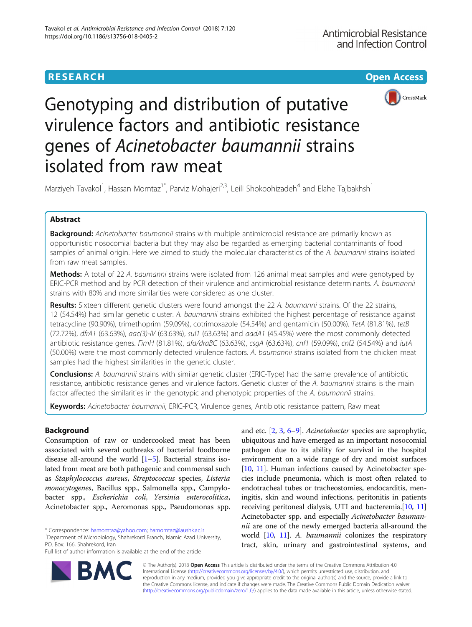



Genotyping and distribution of putative virulence factors and antibiotic resistance genes of Acinetobacter baumannii strains isolated from raw meat

Marziyeh Tavakol<sup>1</sup>, Hassan Momtaz<sup>1\*</sup>, Parviz Mohajeri<sup>2,3</sup>, Leili Shokoohizadeh<sup>4</sup> and Elahe Tajbakhsh<sup>1</sup>

# Abstract

Background: Acinetobacter baumannii strains with multiple antimicrobial resistance are primarily known as opportunistic nosocomial bacteria but they may also be regarded as emerging bacterial contaminants of food samples of animal origin. Here we aimed to study the molecular characteristics of the A. baumanni strains isolated from raw meat samples.

Methods: A total of 22 A. baumanni strains were isolated from 126 animal meat samples and were genotyped by ERIC-PCR method and by PCR detection of their virulence and antimicrobial resistance determinants. A. baumannii strains with 80% and more similarities were considered as one cluster.

Results: Sixteen different genetic clusters were found amongst the 22 A. baumanni strains. Of the 22 strains, 12 (54.54%) had similar genetic cluster. A. baumannii strains exhibited the highest percentage of resistance against tetracycline (90.90%), trimethoprim (59.09%), cotrimoxazole (54.54%) and gentamicin (50.00%). TetA (81.81%), tetB (72.72%), dfrA1 (63.63%), aac(3)-IV (63.63%), sul1 (63.63%) and aadA1 (45.45%) were the most commonly detected antibiotic resistance genes. FimH (81.81%), afa/draBC (63.63%), csgA (63.63%), cnf1 (59.09%), cnf2 (54.54%) and iutA (50.00%) were the most commonly detected virulence factors. A. baumannii strains isolated from the chicken meat samples had the highest similarities in the genetic cluster.

Conclusions: A. baumannii strains with similar genetic cluster (ERIC-Type) had the same prevalence of antibiotic resistance, antibiotic resistance genes and virulence factors. Genetic cluster of the A. baumannii strains is the main factor affected the similarities in the genotypic and phenotypic properties of the A. baumannii strains.

Keywords: Acinetobacter baumannii, ERIC-PCR, Virulence genes, Antibiotic resistance pattern, Raw meat

# Background

Consumption of raw or undercooked meat has been associated with several outbreaks of bacterial foodborne disease all-around the world  $[1–5]$  $[1–5]$  $[1–5]$  $[1–5]$  $[1–5]$ . Bacterial strains isolated from meat are both pathogenic and commensal such as Staphylococcus aureus, Streptococcus species, Listeria monocytogenes, Bacillus spp., Salmonella spp., Campylobacter spp., Escherichia coli, Yersinia enterocolitica, Acinetobacter spp., Aeromonas spp., Pseudomonas spp.

Department of Microbiology, Shahrekord Branch, Islamic Azad University, PO. Box: 166, Shahrekord, Iran

Full list of author information is available at the end of the article

and etc. [[2](#page-9-0), [3](#page-9-0), [6](#page-9-0)–[9](#page-9-0)]. Acinetobacter species are saprophytic, ubiquitous and have emerged as an important nosocomial pathogen due to its ability for survival in the hospital environment on a wide range of dry and moist surfaces [[10](#page-9-0), [11\]](#page-9-0). Human infections caused by Acinetobacter species include pneumonia, which is most often related to endotracheal tubes or tracheostomies, endocarditis, meningitis, skin and wound infections, peritonitis in patients receiving peritoneal dialysis, UTI and bacteremia.[\[10](#page-9-0), [11](#page-9-0)] Acinetobacter spp. and especially Acinetobacter baumannii are one of the newly emerged bacteria all-around the world [[10,](#page-9-0) [11](#page-9-0)]. A. baumannii colonizes the respiratory tract, skin, urinary and gastrointestinal systems, and



© The Author(s). 2018 Open Access This article is distributed under the terms of the Creative Commons Attribution 4.0 International License [\(http://creativecommons.org/licenses/by/4.0/](http://creativecommons.org/licenses/by/4.0/)), which permits unrestricted use, distribution, and reproduction in any medium, provided you give appropriate credit to the original author(s) and the source, provide a link to the Creative Commons license, and indicate if changes were made. The Creative Commons Public Domain Dedication waiver [\(http://creativecommons.org/publicdomain/zero/1.0/](http://creativecommons.org/publicdomain/zero/1.0/)) applies to the data made available in this article, unless otherwise stated.

<sup>\*</sup> Correspondence: [hamomtaz@yahoo.com](mailto:hamomtaz@yahoo.com); [hamomtaz@iaushk.ac.ir](mailto:hamomtaz@iaushk.ac.ir) <sup>1</sup>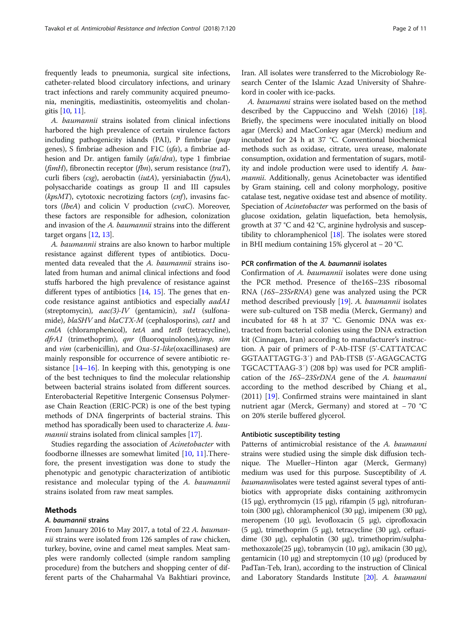frequently leads to pneumonia, surgical site infections, catheter-related blood circulatory infections, and urinary tract infections and rarely community acquired pneumonia, meningitis, mediastinitis, osteomyelitis and cholangitis [[10](#page-9-0), [11\]](#page-9-0).

A. baumannii strains isolated from clinical infections harbored the high prevalence of certain virulence factors including pathogenicity islands (PAI), P fimbriae (pap genes), S fimbriae adhesion and F1C (sfa), a fimbriae adhesion and Dr. antigen family (afa/dra), type 1 fimbriae (fimH), fibronectin receptor (fbn), serum resistance (traT), curli fibers (csg), aerobactin (iutA), yersiniabactin (fyuA), polysaccharide coatings as group II and III capsules ( $kpsMT$ ), cytotoxic necrotizing factors (cnf), invasins factors (IbeA) and colicin V production (cvaC). Moreover, these factors are responsible for adhesion, colonization and invasion of the A. baumannii strains into the different target organs [[12](#page-9-0), [13\]](#page-9-0).

A. baumannii strains are also known to harbor multiple resistance against different types of antibiotics. Documented data revealed that the A. baumannii strains isolated from human and animal clinical infections and food stuffs harbored the high prevalence of resistance against different types of antibiotics  $[14, 15]$  $[14, 15]$  $[14, 15]$  $[14, 15]$ . The genes that encode resistance against antibiotics and especially aadA1 (streptomycin),  $aac(3)-IV$  (gentamicin), sul1 (sulfonamide), blaSHV and blaCTX-M (cephalosporins), cat1 and cmlA (chloramphenicol), tetA and tetB (tetracycline), dfrA1 (trimethoprim), qnr (fluoroquinolones), imp, sim and *vim* (carbenicillin), and *Oxa-51-like*(oxacillinases) are mainly responsible for occurrence of severe antibiotic resistance  $[14–16]$  $[14–16]$  $[14–16]$  $[14–16]$ . In keeping with this, genotyping is one of the best techniques to find the molecular relationship between bacterial strains isolated from different sources. Enterobacterial Repetitive Intergenic Consensus Polymerase Chain Reaction (ERIC-PCR) is one of the best typing methods of DNA fingerprints of bacterial strains. This method has sporadically been used to characterize A. bau-mannii strains isolated from clinical samples [\[17](#page-9-0)].

Studies regarding the association of Acinetobacter with foodborne illnesses are somewhat limited [[10](#page-9-0), [11](#page-9-0)].Therefore, the present investigation was done to study the phenotypic and genotypic characterization of antibiotic resistance and molecular typing of the A. baumannii strains isolated from raw meat samples.

### Methods

### A. baumannii strains

From January 2016 to May 2017, a total of 22 A. baumannii strains were isolated from 126 samples of raw chicken, turkey, bovine, ovine and camel meat samples. Meat samples were randomly collected (simple random sampling procedure) from the butchers and shopping center of different parts of the Chaharmahal Va Bakhtiari province,

Iran. All isolates were transferred to the Microbiology Research Center of the Islamic Azad University of Shahrekord in cooler with ice-packs.

A. baumanni strains were isolated based on the method described by the Cappuccino and Welsh (2016) [[18](#page-9-0)]. Briefly, the specimens were inoculated initially on blood agar (Merck) and MacConkey agar (Merck) medium and incubated for 24 h at 37 °C. Conventional biochemical methods such as oxidase, citrate, urea urease, malonate consumption, oxidation and fermentation of sugars, motility and indole production were used to identify A. baumannii. Additionally, genus Acinetobacter was identified by Gram staining, cell and colony morphology, positive catalase test, negative oxidase test and absence of motility. Speciation of Acinetobacter was performed on the basis of glucose oxidation, gelatin liquefaction, beta hemolysis, growth at 37 °C and 42 °C, arginine hydrolysis and susceptibility to chloramphenicol [[18\]](#page-9-0). The isolates were stored in BHI medium containing 15% glycerol at − 20 °C.

## PCR confirmation of the A. baumannii isolates

Confirmation of A. baumannii isolates were done using the PCR method. Presence of the16S–23S ribosomal RNA (16S–23SrRNA) gene was analyzed using the PCR method described previously [[19\]](#page-9-0). A. baumannii isolates were sub-cultured on TSB media (Merck, Germany) and incubated for 48 h at 37 °C. Genomic DNA was extracted from bacterial colonies using the DNA extraction kit (Cinnagen, Iran) according to manufacturer's instruction. A pair of primers of P-Ab-ITSF (5'-CATTATCAC GGTAATTAGTG-3′) and PAb-ITSB (5'-AGAGCACTG TGCACTTAAG-3′) (208 bp) was used for PCR amplification of the 16S–23SrDNA gene of the A. baumanni according to the method described by Chiang et al., (2011) [[19](#page-9-0)]. Confirmed strains were maintained in slant nutrient agar (Merck, Germany) and stored at − 70 °C on 20% sterile buffered glycerol.

### Antibiotic susceptibility testing

Patterns of antimicrobial resistance of the A. baumanni strains were studied using the simple disk diffusion technique. The Mueller–Hinton agar (Merck, Germany) medium was used for this purpose. Susceptibility of A. baumanniisolates were tested against several types of antibiotics with appropriate disks containing azithromycin (15 μg), erythromycin (15 μg), rifampin (5 μg), nitrofurantoin (300 μg), chloramphenicol (30 μg), imipenem (30 μg), meropenem (10 μg), levofloxacin (5 μg), ciprofloxacin (5 μg), trimethoprim (5 μg), tetracycline (30 μg), ceftazidime (30 μg), cephalotin (30 μg), trimethoprim/sulphamethoxazole(25 μg), tobramycin (10 μg), amikacin (30 μg), gentamicin (10 μg) and streptomycin (10 μg) (produced by PadTan-Teb, Iran), according to the instruction of Clinical and Laboratory Standards Institute [\[20\]](#page-10-0). A. baumanni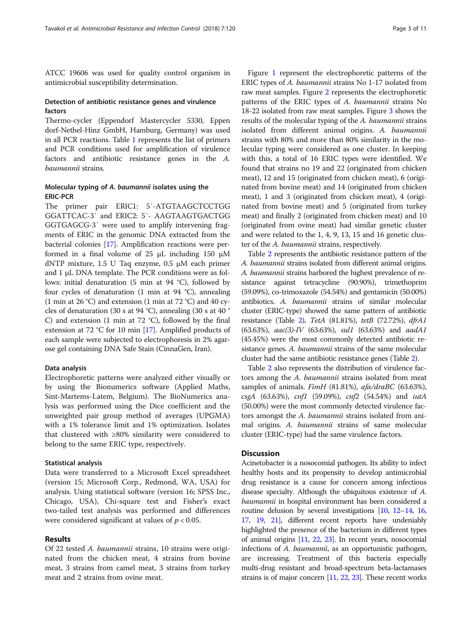ATCC 19606 was used for quality control organism in antimicrobial susceptibility determination.

### Detection of antibiotic resistance genes and virulence factors

Thermo-cycler (Eppendorf Mastercycler 5330, Eppen dorf-Nethel-Hinz GmbH, Hamburg, Germany) was used in all PCR reactions. Table [1](#page-3-0) represents the list of primers and PCR conditions used for amplification of virulence factors and antibiotic resistance genes in the A. baumannii strains.

### Molecular typing of A. baumannii isolates using the ERIC-PCR

The primer pair ERIC1: 5′-ATGTAAGCTCCTGG GGATTCAC-3′ and ERIC2: 5′- AAGTAAGTGACTGG GGTGAGCG-3′ were used to amplify intervening fragments of ERIC in the genomic DNA extracted from the bacterial colonies [\[17\]](#page-9-0). Amplification reactions were performed in a final volume of 25  $\mu$ L including 150  $\mu$ M dNTP mixture, 1.5 U Taq enzyme, 0.5 μM each primer and 1 μL DNA template. The PCR conditions were as follows: initial denaturation (5 min at 94 °C), followed by four cycles of denaturation (1 min at 94 °C), annealing (1 min at 26 °C) and extension (1 min at 72 °C) and 40 cycles of denaturation (30 s at 94 °C), annealing (30 s at 40 ° C) and extension (1 min at 72 °C), followed by the final extension at 72 °C for 10 min [\[17](#page-9-0)]. Amplified products of each sample were subjected to electrophoresis in 2% agarose gel containing DNA Safe Stain (CinnaGen, Iran).

### Data analysis

Electrophoretic patterns were analyzed either visually or by using the Bionumerics software (Applied Maths, Sint-Martems-Latem, Belgium). The BioNumerics analysis was performed using the Dice coefficient and the unweighted pair group method of averages (UPGMA) with a 1% tolerance limit and 1% optimization. Isolates that clustered with ≥80% similarity were considered to belong to the same ERIC type, respectively.

### Statistical analysis

Data were transferred to a Microsoft Excel spreadsheet (version 15; Microsoft Corp., Redmond, WA, USA) for analysis. Using statistical software (version 16; SPSS Inc., Chicago, USA), Chi-square test and Fisher's exact two-tailed test analysis was performed and differences were considered significant at values of  $p < 0.05$ .

### Results

Of 22 tested A. baumannii strains, 10 strains were originated from the chicken meat, 4 strains from bovine meat, 3 strains from camel meat, 3 strains from turkey meat and 2 strains from ovine meat.

Figure [1](#page-5-0) represent the electrophoretic patterns of the ERIC types of A. baumannii strains No 1-17 isolated from raw meat samples. Figure [2](#page-5-0) represents the electrophoretic patterns of the ERIC types of A. baumannii strains No 18-22 isolated from raw meat samples. Figure [3](#page-6-0) shows the results of the molecular typing of the A. baumannii strains isolated from different animal origins. A. baumannii strains with 80% and more than 80% similarity in the molecular typing were considered as one cluster. In keeping with this, a total of 16 ERIC types were identified. We found that strains no 19 and 22 (originated from chicken meat), 12 and 15 (originated from chicken meat), 6 (originated from bovine meat) and 14 (originated from chicken meat), 1 and 3 (originated from chicken meat), 4 (originated from bovine meat) and 5 (originated from turkey meat) and finally 2 (originated from chicken meat) and 10 (originated from ovine meat) had similar genetic cluster and were related to the 1, 4, 9, 13, 15 and 16 genetic cluster of the A. baumannii strains, respectively.

Table [2](#page-7-0) represents the antibiotic resistance pattern of the A. baumannii strains isolated from different animal origins. A. baumannii strains harbored the highest prevalence of resistance against tetracycline (90.90%), trimethoprim (59.09%), co-trimoxazole (54.54%) and gentamicin (50.00%) antibiotics. A. baumannii strains of similar molecular cluster (ERIC-type) showed the same pattern of antibiotic resistance (Table [2](#page-7-0)). TetA (81.81%), tetB (72.72%), dfrA1 (63.63%), aac(3)-IV (63.63%), sul1 (63.63%) and aadA1 (45.45%) were the most commonly detected antibiotic resistance genes. A. baumannii strains of the same molecular cluster had the same antibiotic resistance genes (Table [2\)](#page-7-0).

Table [2](#page-7-0) also represents the distribution of virulence factors among the A. baumannii strains isolated from meat samples of animals. FimH (81.81%), afa/draBC (63.63%), csgA (63.63%), cnf1 (59.09%), cnf2 (54.54%) and iutA (50.00%) were the most commonly detected virulence factors amongst the A. baumannii strains isolated from animal origins. A. baumannii strains of same molecular cluster (ERIC-type) had the same virulence factors.

### **Discussion**

Acinetobacter is a nosocomial pathogen. Its ability to infect healthy hosts and its propensity to develop antimicrobial drug resistance is a cause for concern among infectious disease specialty. Although the ubiquitous existence of A. baumannii in hospital environment has been considered a routine delusion by several investigations [\[10](#page-9-0), [12](#page-9-0)–[14](#page-9-0), [16](#page-9-0), [17](#page-9-0), [19,](#page-9-0) [21](#page-10-0)], different recent reports have undeniably highlighted the presence of the bacterium in different types of animal origins [\[11,](#page-9-0) [22,](#page-10-0) [23](#page-10-0)]. In recent years, nosocomial infections of A. baumannii, as an opportunistic pathogen, are increasing. Treatment of this bacteria especially multi-drug resistant and broad-spectrum beta-lactamases strains is of major concern [[11,](#page-9-0) [22](#page-10-0), [23](#page-10-0)]. These recent works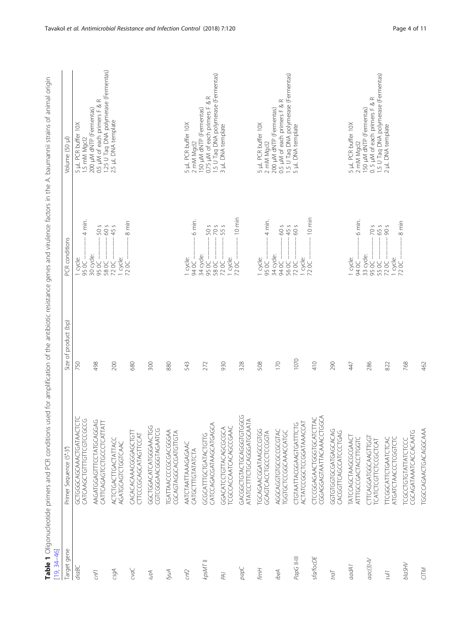<span id="page-3-0"></span>

| $[19, 34 - 46]$ | Table 1 Oligonucleotide primers and PCR conditions     | used for amplification of the antibiotic resistance genes and virulence factors in the A. baumannii strains of animal origin |                                                                         |                                                                                                                      |
|-----------------|--------------------------------------------------------|------------------------------------------------------------------------------------------------------------------------------|-------------------------------------------------------------------------|----------------------------------------------------------------------------------------------------------------------|
| Target gene     | Primer Sequence (5'-3')                                | product (bp)<br>$\overline{\sigma}$<br>Size                                                                                  | PCR conditions                                                          | Volume (50 µl)                                                                                                       |
| draBC           | GCTGGGCAGCAACTGATAACTCTC<br>CATCAAGCTGTTTGTTCGTCCGCCG  | 750                                                                                                                          | 4 min<br>1 cycle:<br>95 OC                                              | 5 µL PCR buffer 10X<br>1.5 mM Mgcl2                                                                                  |
| cnf1            | AAGATGGAGTTTCCTATGCAGGAG<br>CATTCAGAGTCCTGCCCTCATTATT  | 498                                                                                                                          | $\frac{20}{9}$<br>30 cycle:<br>$-50.69$<br>58 OC                        | 0.5 µM of each primers F & R<br>200 µM dNTP (Fermentas)                                                              |
| csgA            | ACTCTGACTTGACTATTACC<br>AGATGCAGTCTGGTCAAC             | 200                                                                                                                          | $\circ$<br>45<br>$\frac{1}{72}$ oc –<br>72 OC                           | 1.25 U Taq DNA polymerase (Fermentas)<br>2.5 µL DNA template                                                         |
| Soc             | CACACACAACGGGAGCTGTT<br>CTTCCCGCAGCATAGTTCCAT          | 680                                                                                                                          | 8 min                                                                   |                                                                                                                      |
| iutA            | GGCTGGACATGGGAACTGG<br>CGTCGGGAACGGTAGAATCG            | 300                                                                                                                          |                                                                         |                                                                                                                      |
| ÍМА             | TGATTAACCGGGGGGAAA<br>CGCAGTAGGCACGATGTTGTA            | 880                                                                                                                          |                                                                         |                                                                                                                      |
| cnf2            | AATCTAATTAAAGAGAAC<br>CATGCITIGTATATCTA                | 543                                                                                                                          | 6 min.<br>1 cycle:<br>$-50$                                             | 5 µL PCR buffer 10X<br>2 mM Mgcl2                                                                                    |
| NSWL II         | CATCCAGATAAGCATGAGCA<br>GCGCATTTGCTGATACTGTTG          | 272                                                                                                                          | $\mathsf{S}$<br>$5885$<br>34 cycle:<br>$-500$<br>58 OC                  | 1.5 U Taq DNA polymerase (Fermentas)<br>0.75 µM of each primers F & R<br>150 µM dNTP (Fermentas)                     |
| <b>PAI</b>      | GGACATCCTGTTACAGCGCGCA<br>TCGCCACCATCAGCCGAAC          | 930                                                                                                                          | $\circ$ $\circ$<br>$\frac{1 \text{ cycle}}{72 \text{ CC} - 1}$<br>72 OC | 3 µL DNA template                                                                                                    |
| babC            | GACGGCTGTACTGCAGGGTGTGGCG<br>ATATCCTTTCTGCAGGGATGCAATA | 328                                                                                                                          | 10 min                                                                  |                                                                                                                      |
| fmmH            | TGCAGAACGATAAGCCGTGG<br>GCAGTCACCTGCCTCCGGTA           | 508                                                                                                                          | $4$ min.<br>1 cycle:<br>95 OC -                                         | 5 µL PCR buffer 10X<br>2 mM Macl2                                                                                    |
| ibeA            | AGGCAGGTGTGCCGCGTAC<br>TGGTGCTCCGGCAACCATGC            | 170                                                                                                                          | 60 s<br>45 s<br>$\odot$<br>34 cycle:<br>94 OC -<br>56 OC                | 0.5 µM of each primers F & R<br>1.5 U Taq DNA polymerase (Fermentas)<br>5 µL DNA template<br>200 µM dNTP (Fermentas) |
| PapG II-III     | CTGTAATTACGGAAGTGATTTCTG<br>ACTATCCGGCTCCGGATAAACCAT   | 1070                                                                                                                         | 60 s<br>$\frac{1 \text{ cycle}}{72 \text{ CC} - }$<br>72 OC             |                                                                                                                      |
| sfa/focDE       | CTCCGGAGAACTGGGTGCATCTTAC<br>CGGAGGAGTAATTACAAACCTGGCA | 410                                                                                                                          | $10 \text{ min}$                                                        |                                                                                                                      |
| $t$ ra          | GGTGTGGTGCGATGAGCACAG<br>CACGGTTCAGCCATCCCTGAG         | 290                                                                                                                          |                                                                         |                                                                                                                      |
| aadA1           | TATCCAGCTAAGCGCGAACT<br>ATTGCCGACTACCTIGGTC            | 47                                                                                                                           | 6 min.<br>94 OC —<br>33 cycle:<br>1 cycle:                              | 5 µL PCR buffer 10X<br>2 mM Mgcl2                                                                                    |
| $ac(3)-N$       | CTTCAGGATGGCAAGTTGGT<br>TCATCTCGTTCTCGCTCAT            | 286                                                                                                                          | S<br>29<br>95 OC -<br>55 OC                                             | 1.5 U Taq DNA polymerase (Fermentas)<br>0.5 µM of each primers F & R<br>150 µM dNTP (Fermentas)                      |
| sul1            | ATGATCTAACCCTCGGTCTC<br><b>TTCGGCATTCTGAATCTCAC</b>    | 822                                                                                                                          | $v \circ$<br>$\infty$<br>$\frac{1}{72}$ oc –<br>72 OC                   | 2 µL DNA template                                                                                                    |
| <b>blaSHV</b>   | CGCAGATAATCACCACAATG<br>TCGCCTGTGTATTATCTCC            | 768                                                                                                                          | $8 \text{ min}$                                                         |                                                                                                                      |
| CITM            | TGGCCAGAACTGACAGGCAAA                                  | 462                                                                                                                          |                                                                         |                                                                                                                      |

Table 1 Oligonucleotide primers and PCR conditions used for amplification of the antibiotic resistance genes and virulence factors in the A. baumannii strains of animal origin l,  $\overline{a}$  $\overline{a}$ J. - 11 l,  $\overline{\phantom{a}}$  $\overline{\phantom{a}}$  $\ddot{\phantom{a}}$  $\epsilon$ l, Ř l, ÷ -9 į . د  $\frac{q}{\pm}$  $\frac{1}{2}$ È  $\frac{1}{2}$  $\frac{1}{4}$  $\overline{a}$ ä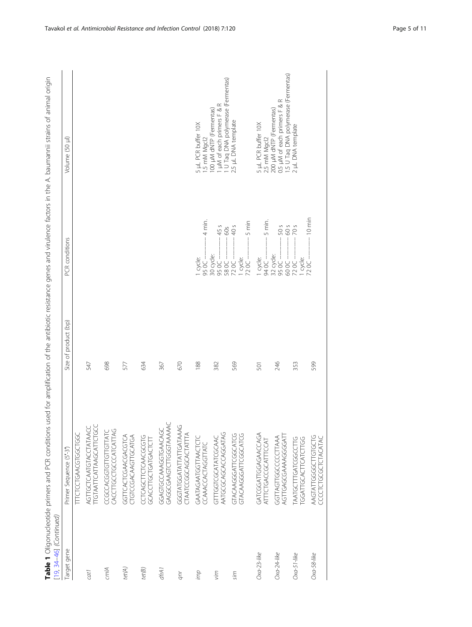| [19, 34–46] (Continued) | Table 1 Oligonucleotide primers and PCR conditions used for amplification of the antibiotic resistance genes and virulence factors in the A. baumannii strains of animal origin |                      |                                                             |                                                                                                 |
|-------------------------|---------------------------------------------------------------------------------------------------------------------------------------------------------------------------------|----------------------|-------------------------------------------------------------|-------------------------------------------------------------------------------------------------|
| Target gene             | Primer Sequence (5'-3')                                                                                                                                                         | Size of product (bp) | <b>PCR</b> conditions                                       | Volume (50 µl)                                                                                  |
|                         | LLCCCLGYSTOCLCCC                                                                                                                                                                |                      |                                                             |                                                                                                 |
| cat1                    | AGTTGCTCAATGTACCTATAACC<br>TTGTAATTCATTAAGCATTCTGCC                                                                                                                             | 547                  |                                                             |                                                                                                 |
| cmlA                    | CACCITGCCTGCCCATCATTAG<br>CCGCCACGGTGTTGTTATC                                                                                                                                   | 698                  |                                                             |                                                                                                 |
| tet(A)                  | GGTTCACTCGAACGACGTCA<br>CTGTCCGACAAGTTGCATGA                                                                                                                                    | 577                  |                                                             |                                                                                                 |
| tet(B)                  | CCTCAGCTTCTCAACGCGTG<br>GCACCTTGCTGATGACTCTT                                                                                                                                    | 634                  |                                                             |                                                                                                 |
| dfrA1                   | GAGGCGAAGTCTTGGTAAAAAC<br>GGAGTGCCAAGGTGAACAGC                                                                                                                                  | 367                  |                                                             |                                                                                                 |
| qnr                     | GGGTATGGATATTGATAAAG<br>CTAATCCGGCAGCATTTA                                                                                                                                      | 670                  |                                                             |                                                                                                 |
| duj                     | GAATAGAATGGTTAACTCTC<br>CCAAACCACTAGGTTATC                                                                                                                                      | 188                  | 4 min.<br>1 cycle:<br>95 OC -                               | 5 µL PCR buffer 10X<br>1.5 mM Mgcl2                                                             |
| vim                     | AATGCGCAGCACCAGGATAG<br>GTTTGGTCGCATATCGCAAC                                                                                                                                    | 382                  | 45 s<br>60s<br>30 cycle:<br>58 OC -<br>95 OC -              | 1 µM of each primers F & R<br>1 U Taq DNA polymerase (Fermentas)<br>100 µM dNTP (Fermentas)     |
| sim                     | GTACAAGGATTCGGCATCG<br>GTACAAGGATTCGGCATCG                                                                                                                                      | 569                  | $5 \text{ min}$<br>40 s<br>$720C -$<br>1 cycle:<br>$720C -$ | 2.5 µL DNA template                                                                             |
| $Oxa-23$ -like          | GATCGGATTGGAGAACCAGA<br>ATTTCTGACCGCATTTCCAT                                                                                                                                    | 501                  | 5 min.<br>- 20 té<br>1 cycle:                               | 5 µL PCR buffer 10X<br>2.5 mM Mgcl2                                                             |
| Oxa-24-like             | AGUGGGGAAAAAAAGUGGGGAT<br>GGTTAGTTGGCCCCCTTAAA                                                                                                                                  | 246                  | 50 <sub>5</sub><br>32 cycle:<br>$-50C$<br>- 2009            | 0.5 µM of each primers F & R<br>1.5 U Taq DNA polymerase (Fermentas)<br>200 µM dNTP (Fermentas) |
| $Oxa-51$ -like          | TGGATTGCACTTCATCTTGG<br>TAATGCTTTGATCGGCCTTG                                                                                                                                    | 353                  | 5 02<br>9 0<br>$720C -$<br>1 cycle:                         | 2 µL DNA template                                                                               |
| $Oxa-58$ -like          | AAGTATTGGGCTTGTGCTG<br>CCCLCLCCCCLCLVCVLVC                                                                                                                                      | 599                  | 10 min<br>72 OC -                                           |                                                                                                 |

Table 1 Oligonucleotide primers and PCR conditions used for amplification of the antibiotic resistance genes and virulence factors in the A. baumannii strains of animal origin  $\frac{1}{2}$  $\frac{1}{2}$ غ. بَـ  $\tilde{t}$  $\frac{1}{2}$  $\frac{2}{x}$ تي J. −C  $\frac{q}{r}$  $\frac{1}{2}$ ÷  $\overline{C}$  $\frac{1}{2}$ J.  $\ddot{\vec{c}}$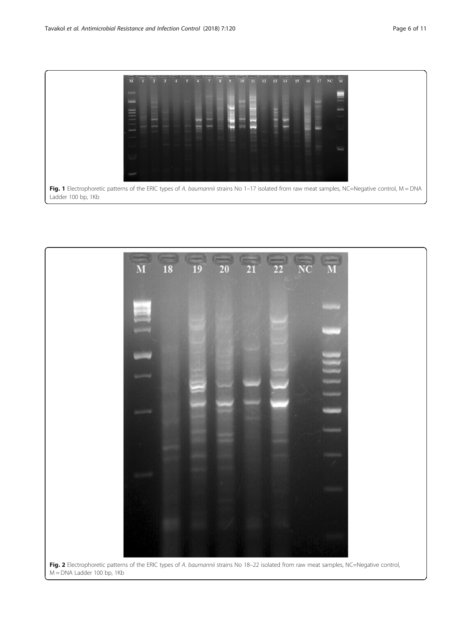

<span id="page-5-0"></span>

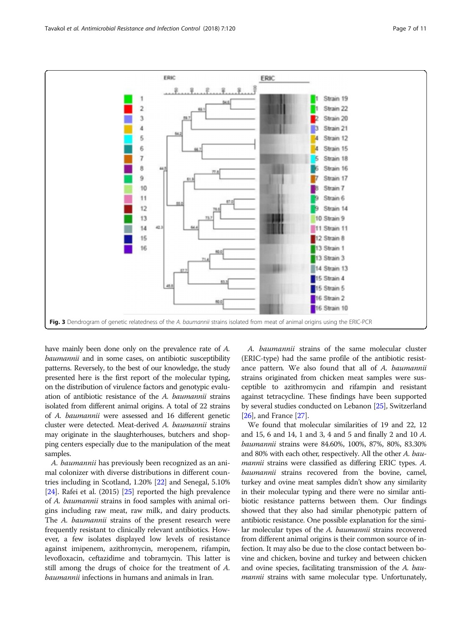<span id="page-6-0"></span>

have mainly been done only on the prevalence rate of A. baumannii and in some cases, on antibiotic susceptibility patterns. Reversely, to the best of our knowledge, the study presented here is the first report of the molecular typing, on the distribution of virulence factors and genotypic evaluation of antibiotic resistance of the A. baumannii strains isolated from different animal origins. A total of 22 strains of A. baumannii were assessed and 16 different genetic cluster were detected. Meat-derived A. baumannii strains may originate in the slaughterhouses, butchers and shopping centers especially due to the manipulation of the meat samples.

A. baumannii has previously been recognized as an animal colonizer with diverse distributions in different countries including in Scotland, 1.20% [[22](#page-10-0)] and Senegal, 5.10% [[24](#page-10-0)]. Rafei et al. (2015) [[25](#page-10-0)] reported the high prevalence of A. baumannii strains in food samples with animal origins including raw meat, raw milk, and dairy products. The A. baumannii strains of the present research were frequently resistant to clinically relevant antibiotics. However, a few isolates displayed low levels of resistance against imipenem, azithromycin, meropenem, rifampin, levofloxacin, ceftazidime and tobramycin. This latter is still among the drugs of choice for the treatment of A. baumannii infections in humans and animals in Iran.

A. baumannii strains of the same molecular cluster (ERIC-type) had the same profile of the antibiotic resistance pattern. We also found that all of A. baumannii strains originated from chicken meat samples were susceptible to azithromycin and rifampin and resistant against tetracycline. These findings have been supported by several studies conducted on Lebanon [[25](#page-10-0)], Switzerland [[26](#page-10-0)], and France [\[27\]](#page-10-0).

We found that molecular similarities of 19 and 22, 12 and 15, 6 and 14, 1 and 3, 4 and 5 and finally 2 and 10 A. baumannii strains were 84.60%, 100%, 87%, 80%, 83.30% and 80% with each other, respectively. All the other A. baumannii strains were classified as differing ERIC types. A. baumannii strains recovered from the bovine, camel, turkey and ovine meat samples didn't show any similarity in their molecular typing and there were no similar antibiotic resistance patterns between them. Our findings showed that they also had similar phenotypic pattern of antibiotic resistance. One possible explanation for the similar molecular types of the A. baumannii strains recovered from different animal origins is their common source of infection. It may also be due to the close contact between bovine and chicken, bovine and turkey and between chicken and ovine species, facilitating transmission of the A. baumannii strains with same molecular type. Unfortunately,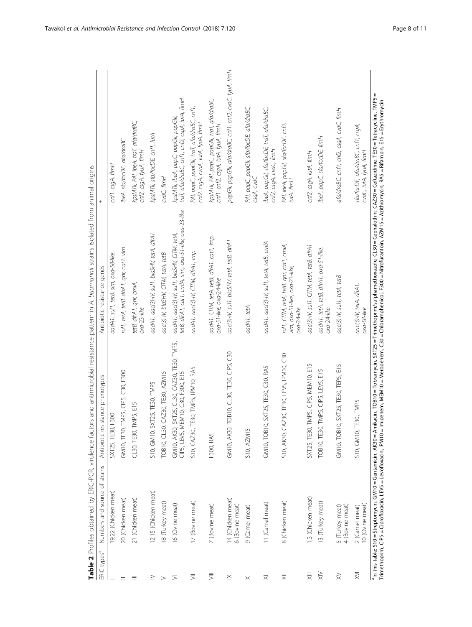<span id="page-7-0"></span>

| ERIC types <sup>a</sup> | Numbers and source of strains        | Antibiotic resistance phenotypes                                                 | Table 2 Profiles obtained by ERIC-PCR, virulence factors and antimicrobial resistance pattern in A. baumannii strains isolated from animal origins<br>Antibiotic resistance genes                                                                                                                                                                                                                                          |                                                                                        |
|-------------------------|--------------------------------------|----------------------------------------------------------------------------------|----------------------------------------------------------------------------------------------------------------------------------------------------------------------------------------------------------------------------------------------------------------------------------------------------------------------------------------------------------------------------------------------------------------------------|----------------------------------------------------------------------------------------|
|                         |                                      |                                                                                  |                                                                                                                                                                                                                                                                                                                                                                                                                            |                                                                                        |
|                         | 19,22 (Chicken meat)                 | SXT25, TE30, F300                                                                | aadA1, sul1, tetB, sim, oxa-58-like                                                                                                                                                                                                                                                                                                                                                                                        | cnf1, csgA, fimH                                                                       |
|                         | 20 (Chicken meat)                    | GM10, TE30, TMP5, CIP5, C30, F300                                                | sul1, tetA, tetB, dfrA1, qnr, cat1, vim                                                                                                                                                                                                                                                                                                                                                                                    | ibeA, sfa/focDE, afa/draBC                                                             |
| ≡                       | 21 (Chicken meat)                    | CL30, TE30, TMP5, E15                                                            | tetB, dfrA1, qnr, cmlA,<br>$oxa-23-like$                                                                                                                                                                                                                                                                                                                                                                                   | kpsMTII, PAI, ibeA, traT, afa/draBC,<br>cnf2, csgA, fyuA, fimH                         |
| ≥                       | 12,15 (Chicken meat)                 | S10, GM10, SXT25, TE30, TMP5                                                     | aadA1, aac(3)-IV, sul1, blaSHV, tetA, dfrA1                                                                                                                                                                                                                                                                                                                                                                                | kpsMTII, sfa/focDE, cnf1, iutA                                                         |
| $\geq$                  | 18 (Turkey meat)                     | TOB10, CL30, CAZ30, TE30, AZM15                                                  | aac(3)-IV, blaSHV, CITM, tetA, tetB                                                                                                                                                                                                                                                                                                                                                                                        | cvaC, fimH                                                                             |
| ⋝                       | 16 (Ovine meat)                      | GM10, AK30, SXT25, CL30, CAZ30, TE30, TMP5,<br>CIP5, LEV5, MEM10, C30, F300, E15 | tetB, dfrA1, cat1, cmlA, sim, oxa-51-like, oxa-23-like<br>aadA1, aac(3)-IV, sul1, blaSHV, ClTM, tetA,                                                                                                                                                                                                                                                                                                                      | traT, afa/draBC, cnf1, cnf2, csgA, iutA, fimH<br>kpsMTII, ibeA, papC, papGII, papGIII, |
| $\overline{5}$          | 17 (Bovine meat)                     | S10, CAZ30, TE30, TMP5, IPM10, RA5                                               | aadA1, aac(3)-IV, CITM, dfrA1, imp                                                                                                                                                                                                                                                                                                                                                                                         | PAI, papC, papGIII, traT, afa/draBC, cnf1,<br>cnf2, csgA, ovaA, iutA, fyuA, fimH       |
| 言                       | 7 (Bovine meat)                      | F300, RA5                                                                        | aadA1, CITM, tetA, tetB, dfrA1, cat1, imp,<br>oxa-51-like, oxa-24-like                                                                                                                                                                                                                                                                                                                                                     | kpsMTII, PAI, papC, papGIII, traT, afa/draBC,<br>cnf1, cnf2, csgA, iutA, fyuA, fimH    |
| $\geq$                  | 14 (Chicken meat)<br>6 (Bovine meat) | GM10, AK30, TOB10, CL30, TE30, CP5, C30                                          | aac(3)-IV, sul1, blaSHV, tetA, tetB, dfrA1                                                                                                                                                                                                                                                                                                                                                                                 | papGII, papGIII, afa/draBC, cnf1, cnf2, cvaC, fyuA, fimH                               |
| $\times$                | 9 (Camel meat)                       | S10, AZM15                                                                       | aadA1, tetA                                                                                                                                                                                                                                                                                                                                                                                                                | PAI, papC, papGII, sfa/focDE, afa/draBC,<br>csgA, cvaC                                 |
| $\overline{\times}$     | 11 (Camel meat)                      | SXT25, TE30, C30, RA5<br>GM10, TOB10,                                            | aadA1, aac(3)-IV, sul1, tetA, tetB, cmlA                                                                                                                                                                                                                                                                                                                                                                                   | ibeA, papGII, sfa/focDE, traT, afa/draBC,<br>cnf2, csgA, ovaC, fimH                    |
| $\equiv$                | 8 (Chicken meat)                     | S10, AK30, CAZ30, TE30, LEV5, IPM10, C30                                         | sul1, CITM, tetA, tetB, qnr, cat1, cmlA,<br>vim, oxa-51-like, oxa-23-like,<br>$0xa-24$ -like                                                                                                                                                                                                                                                                                                                               | PAI, ibeA, papGII, sfa/focDE, cnf2,<br>iutA, fimH                                      |
| $\equiv$                | 1,3 (Chicken meat)                   | SXT25, TE30, TMP5, CIP5, MEM10, E15                                              | aac(3)-IV, sul1, CITM, tetA, tetB, dfrA1                                                                                                                                                                                                                                                                                                                                                                                   | cnf2, csgA, iutA, fimH                                                                 |
| $\gtrapprox$            | 13 (Turkey meat)                     | TOB10, TE30, TMP5, CIP5, LEV5, E15                                               | aadA1, tetA, tetB, dfrA1, oxa-51-like,<br>$oxa-24-like$                                                                                                                                                                                                                                                                                                                                                                    | ibeA, papC, sfa/focDE, fimH                                                            |
| $\gtrapprox$            | 4 (Bovine meat)<br>5 (Turkey meat)   | SXT25, TE30, TEP5, E15<br>GM10, TOB10,                                           | aac(3)-IV, sul1, tetA, tetB                                                                                                                                                                                                                                                                                                                                                                                                | afa/draBC, cnf1, cnf2, csgA, cvaC, fimH                                                |
| $\overline{\geqslant}$  | 10 (Ovine meat)<br>2 (Camel meat)    | S10, GM10, TE30, TMP5                                                            | aac(3)-IV, tetA, dfrA1,<br>$oxa-58$ -like                                                                                                                                                                                                                                                                                                                                                                                  | sfa/focDE, afa/draBC, cnf1, csgA,<br>cvaC, iutA, fyuA, fimH                            |
|                         |                                      |                                                                                  | <sup>a</sup> ln this table: S10 = Streptomycin, GM10 = Gentamicin, AK30 = Amikacin, TOB10 = Tobramycin, SXT25 = Trimethoprim/sulphamethoxazole, CL30 = Cephalothin, CA230 = Ceftazidime, TE30 = Tetracycline, TMP5<br>Trimethoprim, CIP5 = Ciprofloxacin, LEV5 = Levofloxacin, IPM10 = Imipenem, MEM10 = Meropenem, C30 = Chloramphenicol, F300 = Nitrofurantoin, AZM15 = Azithromycin, RA5 = Rifampin, E15 = Erythromycin | Ш                                                                                      |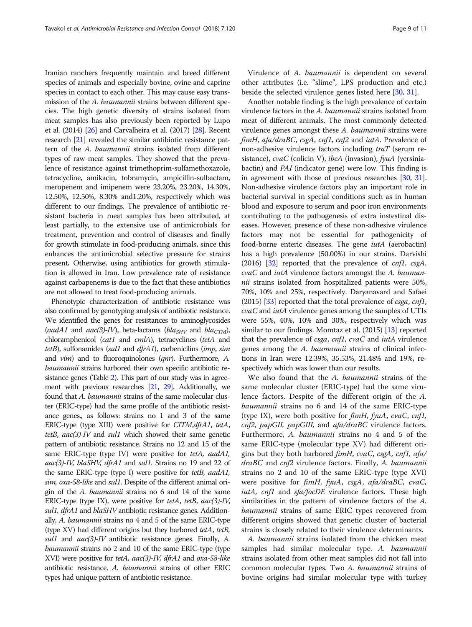Iranian ranchers frequently maintain and breed different species of animals and especially bovine, ovine and caprine species in contact to each other. This may cause easy transmission of the *A. baumannii* strains between different species. The high genetic diversity of strains isolated from meat samples has also previously been reported by Lupo et al. (2014) [\[26\]](#page-10-0) and Carvalheira et al. (2017) [[28](#page-10-0)]. Recent research [[21](#page-10-0)] revealed the similar antibiotic resistance pattern of the A. baumannii strains isolated from different types of raw meat samples. They showed that the prevalence of resistance against trimethoprim-sulfamethoxazole, tetracycline, amikacin, tobramycin, ampicillin-sulbactam, meropenem and imipenem were 23.20%, 23.20%, 14.30%, 12.50%, 12.50%, 8.30% and1.20%, respectively which was different to our findings. The prevalence of antibiotic resistant bacteria in meat samples has been attributed, at least partially, to the extensive use of antimicrobials for treatment, prevention and control of diseases and finally for growth stimulate in food-producing animals, since this enhances the antimicrobial selective pressure for strains present. Otherwise, using antibiotics for growth stimulation is allowed in Iran. Low prevalence rate of resistance against carbapenems is due to the fact that these antibiotics are not allowed to treat food-producing animals.

Phenotypic characterization of antibiotic resistance was also confirmed by genotyping analysis of antibiotic resistance. We identified the genes for resistances to aminoglycosides (aadA1 and aac(3)-IV), beta-lactams (bla<sub>SHV</sub> and bla<sub>CTM</sub>), chloramphenicol (cat1 and cmlA), tetracyclines (tetA and tetB), sulfonamides (sul1 and dfrA1), carbenicilins (imp, sim and *vim*) and to fluoroquinolones (*qnr*). Furthermore, A. baumannii strains harbored their own specific antibiotic resistance genes (Table [2](#page-7-0)). This part of our study was in agreement with previous researches [\[21,](#page-10-0) [29](#page-10-0)]. Additionally, we found that A. baumannii strains of the same molecular cluster (ERIC-type) had the same profile of the antibiotic resistance genes., as follows: strains no 1 and 3 of the same ERIC-type (type XIII) were positive for CITM,dfrA1, tetA, tetB,  $aac(3)$ -IV and sul1 which showed their same genetic pattern of antibiotic resistance. Strains no 12 and 15 of the same ERIC-type (type IV) were positive for tetA, aadA1, aac(3)-IV, blaSHV, dfrA1 and sul1. Strains no 19 and 22 of the same ERIC-type (type I) were positive for tetB, aadA1, sim, oxa-58-like and sul1. Despite of the different animal origin of the A. baumannii strains no 6 and 14 of the same ERIC-type (type IX), were positive for tetA, tetB,  $aac(3)-IV$ , sul1, dfrA1 and blaSHV antibiotic resistance genes. Additionally, A. baumannii strains no 4 and 5 of the same ERIC-type (type XV) had different origins but they harbored tetA, tetB, sul1 and  $aac(3)$ -IV antibiotic resistance genes. Finally, A. baumannii strains no 2 and 10 of the same ERIC-type (type XVI) were positive for tetA, aac(3)-IV, dfrA1 and oxa-58-like antibiotic resistance. A. baumannii strains of other ERIC types had unique pattern of antibiotic resistance.

Virulence of A. baumannii is dependent on several other attributes (i.e. "slime", LPS production and etc.) beside the selected virulence genes listed here [[30](#page-10-0), [31](#page-10-0)].

Another notable finding is the high prevalence of certain virulence factors in the A. baumannii strains isolated from meat of different animals. The most commonly detected virulence genes amongst these A. baumannii strains were fimH, afa/draBC, csgA, cnf1, cnf2 and iutA. Prevalence of non-adhesive virulence factors including traT (serum resistance), cvaC (colicin V), ibeA (invasion), fyuA (yersiniabactin) and PAI (indicator gene) were low. This finding is in agreement with those of previous researches [\[30,](#page-10-0) [31](#page-10-0)]. Non-adhesive virulence factors play an important role in bacterial survival in special conditions such as in human blood and exposure to serum and poor iron environments contributing to the pathogenesis of extra instestinal diseases. However, presence of these non-adhesive virulence factors may not be essential for pathogenicity of food-borne enteric diseases. The gene iutA (aerobactin) has a high prevalence (50.00%) in our strains. Darvishi (2016) [\[32\]](#page-10-0) reported that the prevalence of  $cnfl$ ,  $csgA$ , cvaC and iutA virulence factors amongst the A. baumannii strains isolated from hospitalized patients were 50%, 70%, 10% and 25%, respectively. Daryanavard and Safaei (2015) [\[33\]](#page-10-0) reported that the total prevalence of *csga*, *cnf1*,  $cvaC$  and  $iutA$  virulence genes among the samples of UTIs were 55%, 40%, 10% and 30%, respectively which was similar to our findings. Momtaz et al. (2015) [[13](#page-9-0)] reported that the prevalence of *csga*,  $cnf1$ ,  $cvaC$  and  $iutA$  virulence genes among the A. baumannii strains of clinical infections in Iran were 12.39%, 35.53%, 21.48% and 19%, respectively which was lower than our results.

We also found that the A. baumannii strains of the same molecular cluster (ERIC-type) had the same virulence factors. Despite of the different origin of the A. baumannii strains no 6 and 14 of the same ERIC-type (type IX), were both positive for  $f_{im}H$ ,  $f_{\gamma}uA$ ,  $\gamma\alpha C$ ,  $cnf1$ , cnf2, papGII, papGIII, and afa/draBC virulence factors. Furthermore, A. baumannii strains no 4 and 5 of the same ERIC-type (molecular type XV) had different origins but they both harbored fimH, cvaC, csgA, cnf1, afa/ draBC and cnf2 virulence factors. Finally, A. baumannii strains no 2 and 10 of the same ERIC-type (type XVI) were positive for fimH, fyuA, csgA, afa/draBC, cvaC, iutA, cnf1 and sfa/focDE virulence factors. These high similarities in the pattern of virulence factors of the A. baumannii strains of same ERIC types recovered from different origins showed that genetic cluster of bacterial strains is closely related to their virulence determinants.

A. baumannii strains isolated from the chicken meat samples had similar molecular type. A. baumannii strains isolated from other meat samples did not fall into common molecular types. Two A. baumannii strains of bovine origins had similar molecular type with turkey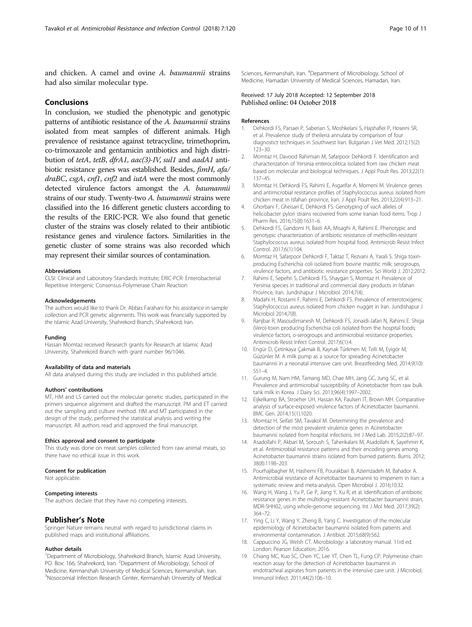<span id="page-9-0"></span>and chicken. A camel and ovine A. baumannii strains had also similar molecular type.

### Conclusions

In conclusion, we studied the phenotypic and genotypic patterns of antibiotic resistance of the A. baumannii strains isolated from meat samples of different animals. High prevalence of resistance against tetracycline, trimethoprim, co-trimoxazole and gentamicin antibiotics and high distribution of tetA, tetB, dfrA1, aac(3)-IV, sul1 and aadA1 antibiotic resistance genes was established. Besides, fimH, afa/ draBC, csgA, cnf1, cnf2 and iutA were the most commonly detected virulence factors amongst the A. baumannii strains of our study. Twenty-two A. baumannii strains were classified into the 16 different genetic clusters according to the results of the ERIC-PCR. We also found that genetic cluster of the strains was closely related to their antibiotic resistance genes and virulence factors. Similarities in the genetic cluster of some strains was also recorded which may represent their similar sources of contamination.

#### **Abbreviations**

CLSI: Clinical and Laboratory Standards Institute; ERIC-PCR: Enterobacterial Repetitive Intergenic Consensus-Polymerase Chain Reaction

#### Acknowledgements

The authors would like to thank Dr. Abbas Farahani for his assistance in sample collection and PCR genetic alignments. This work was financially supported by the Islamic Azad University, Shahrekord Branch, Shahrekord, Iran.

#### Funding

Hassan Momtaz received Research grants for Research at Islamic Azad University, Shahrekord Branch with grant number 96/1046.

#### Availability of data and materials

All data analysed during this study are included in this published article.

### Authors' contributions

MT, HM and LS carried out the molecular genetic studies, participated in the primers sequence alignment and drafted the manuscript. PM and ET carried out the sampling and culture method. HM and MT participated in the design of the study, performed the statistical analysis and writing the manuscript. All authors read and approved the final manuscript.

#### Ethics approval and consent to participate

This study was done on meat samples collected from raw animal meats, so there have no ethical issue in this work.

#### Consent for publication

Not applicable.

#### Competing interests

The authors declare that they have no competing interests.

### Publisher's Note

Springer Nature remains neutral with regard to jurisdictional claims in published maps and institutional affiliations.

### Author details

<sup>1</sup>Department of Microbiology, Shahrekord Branch, Islamic Azad University, PO. Box: 166, Shahrekord, Iran. <sup>2</sup>Department of Microbiology, School of Medicine, Kermanshah University of Medical Sciences, Kermanshah, Iran. <sup>3</sup>Nosocomial Infection Research Center, Kermanshah University of Medical

Sciences, Kermanshah, Iran. <sup>4</sup>Department of Microbiology, School of Medicine, Hamadan University of Medical Sciences, Hamadan, Iran.

### Received: 17 July 2018 Accepted: 12 September 2018 Published online: 04 October 2018

#### References

- 1. Dehkordi FS, Parsaei P, Saberian S, Moshkelani S, Hajshafiei P, Hoseini SR, et al. Prevalence study of theileria annulata by comparison of four diagnostict techniques in Southwest Iran. Bulgarian J Vet Med. 2012;15(2): 123–30.
- 2. Momtaz H, Davood Rahimian M, Safarpoor Dehkordi F. Identification and characterization of Yersinia enterocolitica isolated from raw chicken meat based on molecular and biological techniques. J Appl Poult Res. 2013;22(1): 137–45.
- 3. Momtaz H, Dehkordi FS, Rahimi E, Asgarifar A, Momeni M. Virulence genes and antimicrobial resistance profiles of Staphylococcus aureus isolated from chicken meat in Isfahan province, Iran. J Appl Poult Res. 2013;22(4):913–21.
- 4. Ghorbani F, Gheisari E, Dehkordi FS. Genotyping of vacA alleles of helicobacter pylori strains recovered from some Iranian food items. Trop J Pharm Res. 2016;15(8):1631–6.
- 5. Dehkordi FS, Gandomi H, Basti AA, Misaghi A, Rahimi E. Phenotypic and genotypic characterization of antibiotic resistance of methicillin-resistant Staphylococcus aureus isolated from hospital food. Antimicrob Resist Infect Control. 2017;6(1):104.
- 6. Momtaz H, Safarpoor Dehkordi F, Taktaz T, Rezvani A, Yarali S. Shiga toxinproducing Escherichia coli isolated from bovine mastitic milk: serogroups, virulence factors, and antibiotic resistance properties. Sci World J. 2012;2012.
- 7. Rahimi E, Sepehri S, Dehkordi FS, Shaygan S, Momtaz H. Prevalence of Yersinia species in traditional and commercial dairy products in Isfahan Province, Iran. Jundishapur J Microbiol. 2014;7(4).
- 8. Madahi H, Rostami F, Rahimi E, Dehkordi FS. Prevalence of enterotoxigenic Staphylococcus aureus isolated from chicken nugget in Iran. Jundishapur J Microbiol 2014;7(8).
- 9. Ranjbar R, Masoudimanesh M, Dehkordi FS, Jonaidi-Jafari N, Rahimi E. Shiga (Vero)-toxin producing Escherichia coli isolated from the hospital foods; virulence factors, o-serogroups and antimicrobial resistance properties. Antimicrob Resist Infect Control. 2017;6(1):4.
- 10. Engür D, Çetinkaya Çakmak B, Kaynak Türkmen M, Telli M, Eyigör M, Güzünler M. A milk pump as a source for spreading Acinetobacter baumannii in a neonatal intensive care unit. Breastfeeding Med. 2014;9(10): 551–4.
- 11. Gurung M, Nam HM, Tamang MD, Chae MH, Jang GC, Jung SC, et al. Prevalence and antimicrobial susceptibility of Acinetobacter from raw bulk tank milk in Korea. J Dairy Sci. 2013;96(4):1997–2002.
- 12. Eijkelkamp BA, Stroeher UH, Hassan KA, Paulsen IT, Brown MH. Comparative analysis of surface-exposed virulence factors of Acinetobacter baumannii. BMC Gen. 2014;15(1):1020.
- 13. Momtaz H, Seifati SM, Tavakol M. Determining the prevalence and detection of the most prevalent virulence genes in Acinetobacter baumannii isolated from hospital infections. Int J Med Lab. 2015;2(2):87–97.
- 14. Asadollahi P, Akbari M, Soroush S, Taherikalani M, Asadollahi K, Sayehmiri K, et al. Antimicrobial resistance patterns and their encoding genes among Acinetobacter baumannii strains isolated from burned patients. Burns. 2012; 38(8):1198–203.
- 15. Pourhajibagher M, Hashemi FB, Pourakbari B, Aziemzadeh M, Bahador A. Antimicrobial resistance of Acinetobacter baumannii to imipenem in Iran: a systematic review and meta-analysis. Open Microbiol J. 2016;10:32.
- 16. Wang H, Wang J, Yu P, Ge P, Jiang Y, Xu R, et al. Identification of antibiotic resistance genes in the multidrug-resistant Acinetobacter baumannii strain, MDR-SHH02, using whole-genome sequencing. Int J Mol Med. 2017;39(2): 364–72.
- 17. Ying C, Li Y, Wang Y, Zheng B, Yang C. Investigation of the molecular epidemiology of Acinetobacter baumannii isolated from patients and environmental contamination. J Antibiot. 2015;68(9):562.
- 18. Cappuccino JG, Welsh CT. Microbiology: a laboratory manual. 11rd ed. London: Pearson Education; 2016.
- 19. Chiang MC, Kuo SC, Chen YC, Lee YT, Chen TL, Fung CP. Polymerase chain reaction assay for the detection of Acinetobacter baumannii in endotracheal aspirates from patients in the intensive care unit. J Microbiol, Immunol Infect. 2011;44(2):106–10.